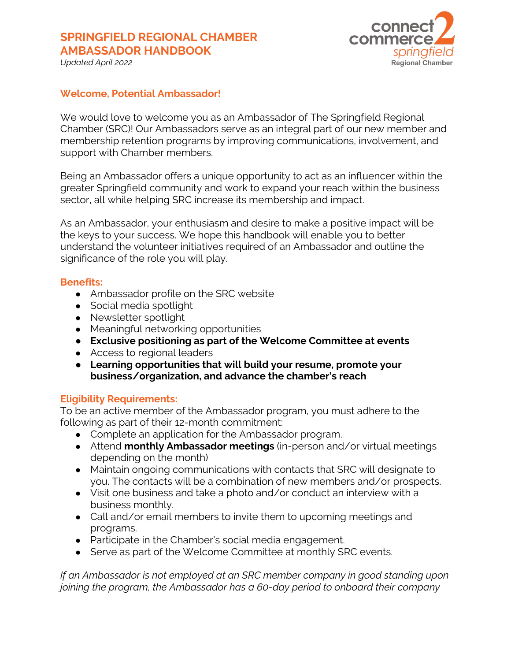## **SPRINGFIELD REGIONAL CHAMBER AMBASSADOR HANDBOOK**



*Updated April 2022*

### **Welcome, Potential Ambassador!**

We would love to welcome you as an Ambassador of The Springfield Regional Chamber (SRC)! Our Ambassadors serve as an integral part of our new member and membership retention programs by improving communications, involvement, and support with Chamber members.

Being an Ambassador offers a unique opportunity to act as an influencer within the greater Springfield community and work to expand your reach within the business sector, all while helping SRC increase its membership and impact.

As an Ambassador, your enthusiasm and desire to make a positive impact will be the keys to your success. We hope this handbook will enable you to better understand the volunteer initiatives required of an Ambassador and outline the significance of the role you will play.

#### **Benefits:**

- Ambassador profile on the SRC website
- Social media spotlight
- Newsletter spotlight
- Meaningful networking opportunities
- **Exclusive positioning as part of the Welcome Committee at events**
- Access to regional leaders
- **Learning opportunities that will build your resume, promote your business/organization, and advance the chamber's reach**

### **Eligibility Requirements:**

To be an active member of the Ambassador program, you must adhere to the following as part of their 12-month commitment:

- Complete an application for the Ambassador program.
- Attend **monthly Ambassador meetings** (in-person and/or virtual meetings depending on the month)
- Maintain ongoing communications with contacts that SRC will designate to you. The contacts will be a combination of new members and/or prospects.
- Visit one business and take a photo and/or conduct an interview with a business monthly.
- Call and/or email members to invite them to upcoming meetings and programs.
- Participate in the Chamber's social media engagement.
- Serve as part of the Welcome Committee at monthly SRC events.

*If an Ambassador is not employed at an SRC member company in good standing upon joining the program, the Ambassador has a 60-day period to onboard their company*